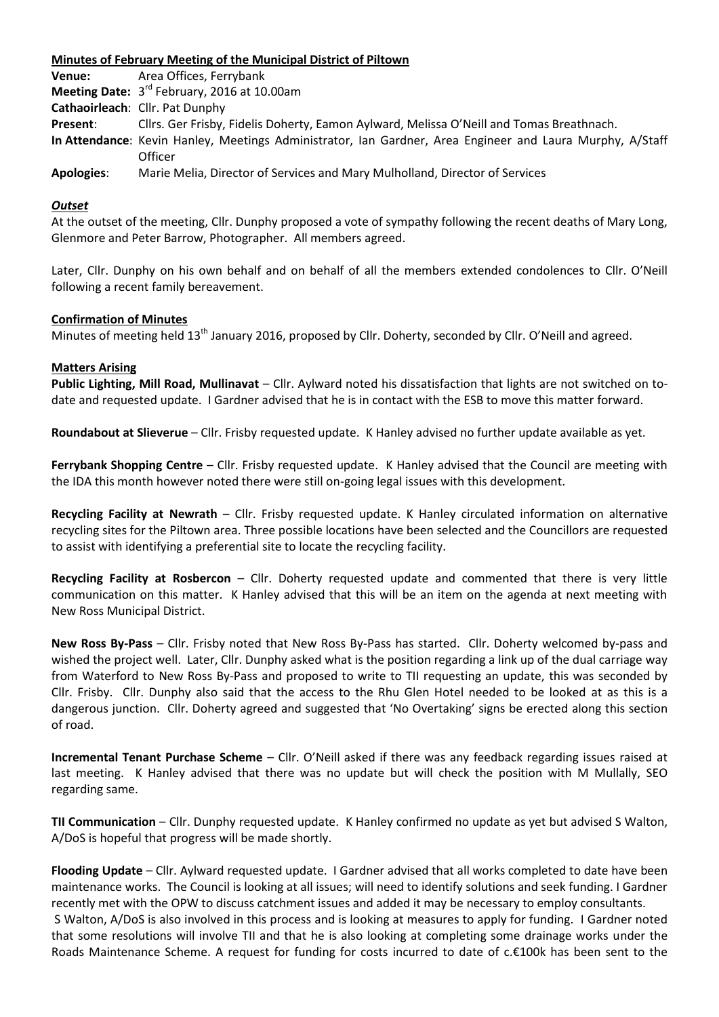## **Minutes of February Meeting of the Municipal District of Piltown**

| Venue:            | Area Offices, Ferrybank                                                                                   |
|-------------------|-----------------------------------------------------------------------------------------------------------|
|                   | Meeting Date: 3 <sup>rd</sup> February, 2016 at 10.00am                                                   |
|                   | Cathaoirleach: Cllr. Pat Dunphy                                                                           |
| Present:          | Cllrs. Ger Frisby, Fidelis Doherty, Eamon Aylward, Melissa O'Neill and Tomas Breathnach.                  |
|                   | In Attendance: Kevin Hanley, Meetings Administrator, Ian Gardner, Area Engineer and Laura Murphy, A/Staff |
|                   | Officer                                                                                                   |
| <b>Apologies:</b> | Marie Melia, Director of Services and Mary Mulholland, Director of Services                               |

#### *Outset*

At the outset of the meeting, Cllr. Dunphy proposed a vote of sympathy following the recent deaths of Mary Long, Glenmore and Peter Barrow, Photographer. All members agreed.

Later, Cllr. Dunphy on his own behalf and on behalf of all the members extended condolences to Cllr. O'Neill following a recent family bereavement.

#### **Confirmation of Minutes**

Minutes of meeting held 13<sup>th</sup> January 2016, proposed by Cllr. Doherty, seconded by Cllr. O'Neill and agreed.

#### **Matters Arising**

**Public Lighting, Mill Road, Mullinavat** – Cllr. Aylward noted his dissatisfaction that lights are not switched on todate and requested update. I Gardner advised that he is in contact with the ESB to move this matter forward.

**Roundabout at Slieverue** – Cllr. Frisby requested update. K Hanley advised no further update available as yet.

**Ferrybank Shopping Centre** – Cllr. Frisby requested update. K Hanley advised that the Council are meeting with the IDA this month however noted there were still on-going legal issues with this development.

**Recycling Facility at Newrath** – Cllr. Frisby requested update. K Hanley circulated information on alternative recycling sites for the Piltown area. Three possible locations have been selected and the Councillors are requested to assist with identifying a preferential site to locate the recycling facility.

**Recycling Facility at Rosbercon** – Cllr. Doherty requested update and commented that there is very little communication on this matter. K Hanley advised that this will be an item on the agenda at next meeting with New Ross Municipal District.

**New Ross By-Pass** – Cllr. Frisby noted that New Ross By-Pass has started. Cllr. Doherty welcomed by-pass and wished the project well. Later, Cllr. Dunphy asked what is the position regarding a link up of the dual carriage way from Waterford to New Ross By-Pass and proposed to write to TII requesting an update, this was seconded by Cllr. Frisby. Cllr. Dunphy also said that the access to the Rhu Glen Hotel needed to be looked at as this is a dangerous junction. Cllr. Doherty agreed and suggested that 'No Overtaking' signs be erected along this section of road.

**Incremental Tenant Purchase Scheme** – Cllr. O'Neill asked if there was any feedback regarding issues raised at last meeting. K Hanley advised that there was no update but will check the position with M Mullally, SEO regarding same.

**TII Communication** – Cllr. Dunphy requested update. K Hanley confirmed no update as yet but advised S Walton, A/DoS is hopeful that progress will be made shortly.

**Flooding Update** – Cllr. Aylward requested update. I Gardner advised that all works completed to date have been maintenance works. The Council is looking at all issues; will need to identify solutions and seek funding. I Gardner recently met with the OPW to discuss catchment issues and added it may be necessary to employ consultants. S Walton, A/DoS is also involved in this process and is looking at measures to apply for funding. I Gardner noted that some resolutions will involve TII and that he is also looking at completing some drainage works under the Roads Maintenance Scheme. A request for funding for costs incurred to date of c.€100k has been sent to the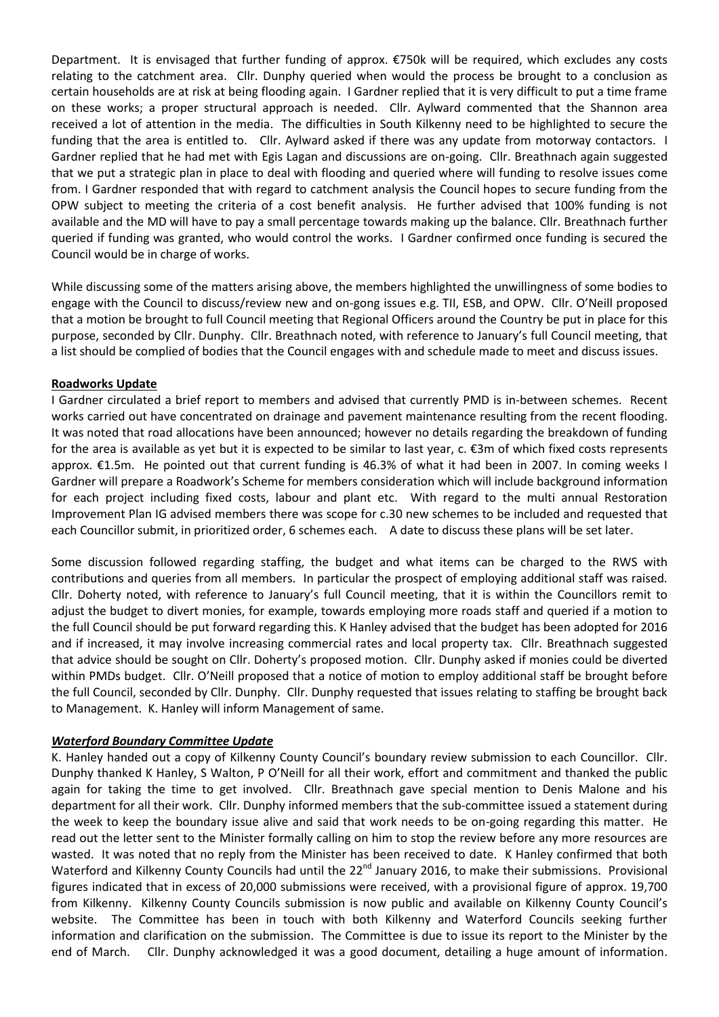Department. It is envisaged that further funding of approx. €750k will be required, which excludes any costs relating to the catchment area. Cllr. Dunphy queried when would the process be brought to a conclusion as certain households are at risk at being flooding again. I Gardner replied that it is very difficult to put a time frame on these works; a proper structural approach is needed. Cllr. Aylward commented that the Shannon area received a lot of attention in the media. The difficulties in South Kilkenny need to be highlighted to secure the funding that the area is entitled to. Cllr. Aylward asked if there was any update from motorway contactors. I Gardner replied that he had met with Egis Lagan and discussions are on-going. Cllr. Breathnach again suggested that we put a strategic plan in place to deal with flooding and queried where will funding to resolve issues come from. I Gardner responded that with regard to catchment analysis the Council hopes to secure funding from the OPW subject to meeting the criteria of a cost benefit analysis. He further advised that 100% funding is not available and the MD will have to pay a small percentage towards making up the balance. Cllr. Breathnach further queried if funding was granted, who would control the works. I Gardner confirmed once funding is secured the Council would be in charge of works.

While discussing some of the matters arising above, the members highlighted the unwillingness of some bodies to engage with the Council to discuss/review new and on-gong issues e.g. TII, ESB, and OPW. Cllr. O'Neill proposed that a motion be brought to full Council meeting that Regional Officers around the Country be put in place for this purpose, seconded by Cllr. Dunphy. Cllr. Breathnach noted, with reference to January's full Council meeting, that a list should be complied of bodies that the Council engages with and schedule made to meet and discuss issues.

## **Roadworks Update**

I Gardner circulated a brief report to members and advised that currently PMD is in-between schemes. Recent works carried out have concentrated on drainage and pavement maintenance resulting from the recent flooding. It was noted that road allocations have been announced; however no details regarding the breakdown of funding for the area is available as yet but it is expected to be similar to last year,  $c. \epsilon$ 3m of which fixed costs represents approx. €1.5m. He pointed out that current funding is 46.3% of what it had been in 2007. In coming weeks I Gardner will prepare a Roadwork's Scheme for members consideration which will include background information for each project including fixed costs, labour and plant etc. With regard to the multi annual Restoration Improvement Plan IG advised members there was scope for c.30 new schemes to be included and requested that each Councillor submit, in prioritized order, 6 schemes each. A date to discuss these plans will be set later.

Some discussion followed regarding staffing, the budget and what items can be charged to the RWS with contributions and queries from all members. In particular the prospect of employing additional staff was raised*.*  Cllr. Doherty noted, with reference to January's full Council meeting, that it is within the Councillors remit to adjust the budget to divert monies, for example, towards employing more roads staff and queried if a motion to the full Council should be put forward regarding this. K Hanley advised that the budget has been adopted for 2016 and if increased, it may involve increasing commercial rates and local property tax. Cllr. Breathnach suggested that advice should be sought on Cllr. Doherty's proposed motion. Cllr. Dunphy asked if monies could be diverted within PMDs budget. Cllr. O'Neill proposed that a notice of motion to employ additional staff be brought before the full Council, seconded by Cllr. Dunphy. Cllr. Dunphy requested that issues relating to staffing be brought back to Management. K. Hanley will inform Management of same.

# *Waterford Boundary Committee Update*

K. Hanley handed out a copy of Kilkenny County Council's boundary review submission to each Councillor. Cllr. Dunphy thanked K Hanley, S Walton, P O'Neill for all their work, effort and commitment and thanked the public again for taking the time to get involved. Cllr. Breathnach gave special mention to Denis Malone and his department for all their work. Cllr. Dunphy informed members that the sub-committee issued a statement during the week to keep the boundary issue alive and said that work needs to be on-going regarding this matter. He read out the letter sent to the Minister formally calling on him to stop the review before any more resources are wasted. It was noted that no reply from the Minister has been received to date. K Hanley confirmed that both Waterford and Kilkenny County Councils had until the 22<sup>nd</sup> January 2016, to make their submissions. Provisional figures indicated that in excess of 20,000 submissions were received, with a provisional figure of approx. 19,700 from Kilkenny. Kilkenny County Councils submission is now public and available on Kilkenny County Council's website. The Committee has been in touch with both Kilkenny and Waterford Councils seeking further information and clarification on the submission. The Committee is due to issue its report to the Minister by the end of March. Cllr. Dunphy acknowledged it was a good document, detailing a huge amount of information.